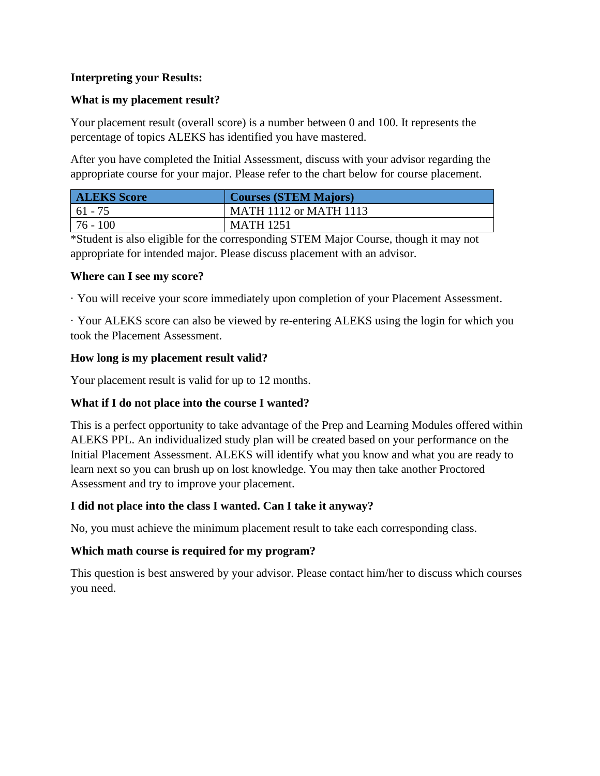## **Interpreting your Results:**

#### **What is my placement result?**

Your placement result (overall score) is a number between 0 and 100. It represents the percentage of topics ALEKS has identified you have mastered.

After you have completed the Initial Assessment, discuss with your advisor regarding the appropriate course for your major. Please refer to the chart below for course placement.

| <b>ALEKS Score</b> | <b>Courses (STEM Majors)</b>  |
|--------------------|-------------------------------|
| $161 - 75$         | <b>MATH 1112 or MATH 1113</b> |
| $176 - 100$        | <b>MATH 1251</b>              |

\*Student is also eligible for the corresponding STEM Major Course, though it may not appropriate for intended major. Please discuss placement with an advisor.

#### **Where can I see my score?**

· You will receive your score immediately upon completion of your Placement Assessment.

· Your ALEKS score can also be viewed by re-entering ALEKS using the login for which you took the Placement Assessment.

### **How long is my placement result valid?**

Your placement result is valid for up to 12 months.

# **What if I do not place into the course I wanted?**

This is a perfect opportunity to take advantage of the Prep and Learning Modules offered within ALEKS PPL. An individualized study plan will be created based on your performance on the Initial Placement Assessment. ALEKS will identify what you know and what you are ready to learn next so you can brush up on lost knowledge. You may then take another Proctored Assessment and try to improve your placement.

# **I did not place into the class I wanted. Can I take it anyway?**

No, you must achieve the minimum placement result to take each corresponding class.

#### **Which math course is required for my program?**

This question is best answered by your advisor. Please contact him/her to discuss which courses you need.